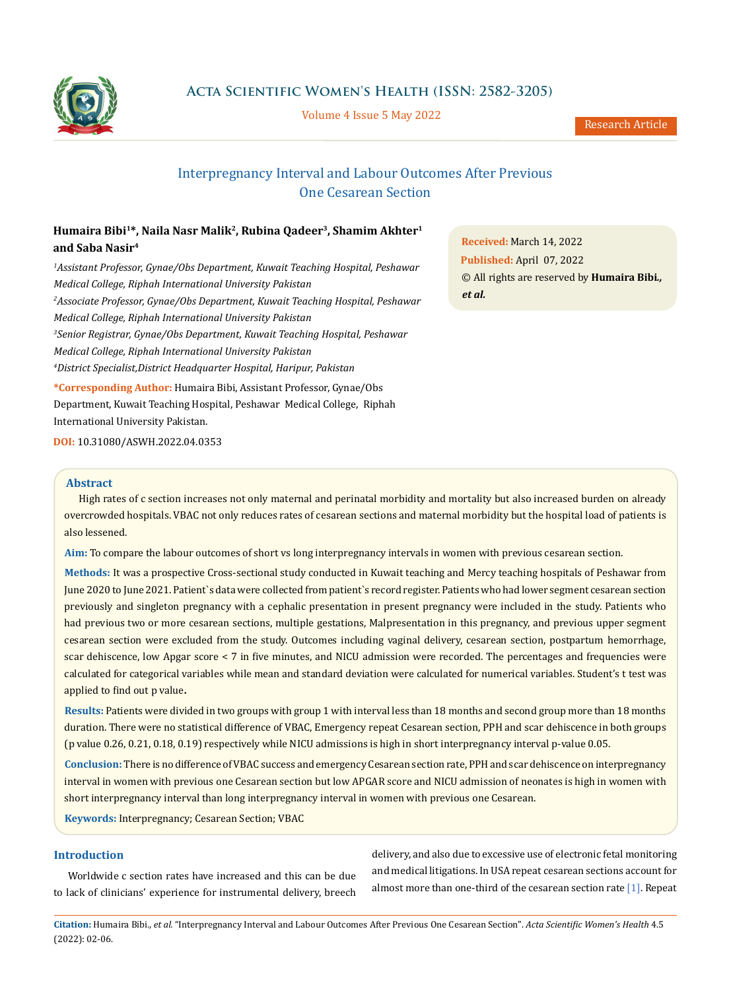

**Acta Scientific Women's Health (ISSN: 2582-3205)**

Volume 4 Issue 5 May 2022

# Interpregnancy Interval and Labour Outcomes After Previous One Cesarean Section

## **Humaira Bibi1\*, Naila Nasr Malik2, Rubina Qadeer3, Shamim Akhter1 and Saba Nasir4**

*1 Assistant Professor, Gynae/Obs Department, Kuwait Teaching Hospital, Peshawar Medical College, Riphah International University Pakistan 2 Associate Professor, Gynae/Obs Department, Kuwait Teaching Hospital, Peshawar Medical College, Riphah International University Pakistan 3 Senior Registrar, Gynae/Obs Department, Kuwait Teaching Hospital, Peshawar Medical College, Riphah International University Pakistan 4 District Specialist,District Headquarter Hospital, Haripur, Pakistan*

**\*Corresponding Author:** Humaira Bibi, Assistant Professor, Gynae/Obs Department, Kuwait Teaching Hospital, Peshawar Medical College, Riphah International University Pakistan.

**DOI:** [10.31080/ASWH.2022.04.0353](http://actascientific.com/ASWH/pdf/ASWH-04-0353.pdf)

#### **Abstract**

High rates of c section increases not only maternal and perinatal morbidity and mortality but also increased burden on already overcrowded hospitals. VBAC not only reduces rates of cesarean sections and maternal morbidity but the hospital load of patients is also lessened.

**Aim:** To compare the labour outcomes of short vs long interpregnancy intervals in women with previous cesarean section.

**Methods:** It was a prospective Cross-sectional study conducted in Kuwait teaching and Mercy teaching hospitals of Peshawar from June 2020 to June 2021. Patient`s data were collected from patient`s record register. Patients who had lower segment cesarean section previously and singleton pregnancy with a cephalic presentation in present pregnancy were included in the study. Patients who had previous two or more cesarean sections, multiple gestations, Malpresentation in this pregnancy, and previous upper segment cesarean section were excluded from the study. Outcomes including vaginal delivery, cesarean section, postpartum hemorrhage, scar dehiscence, low Apgar score < 7 in five minutes, and NICU admission were recorded. The percentages and frequencies were calculated for categorical variables while mean and standard deviation were calculated for numerical variables. Student's t test was applied to find out p value**.**

**Results:** Patients were divided in two groups with group 1 with interval less than 18 months and second group more than 18 months duration. There were no statistical difference of VBAC, Emergency repeat Cesarean section, PPH and scar dehiscence in both groups (p value 0.26, 0.21, 0.18, 0.19) respectively while NICU admissions is high in short interpregnancy interval p-value 0.05.

**Conclusion:** There is no difference of VBAC success and emergency Cesarean section rate, PPH and scar dehiscence on interpregnancy interval in women with previous one Cesarean section but low APGAR score and NICU admission of neonates is high in women with short interpregnancy interval than long interpregnancy interval in women with previous one Cesarean.

**Keywords:** Interpregnancy; Cesarean Section; VBAC

## **Introduction**

Worldwide c section rates have increased and this can be due to lack of clinicians' experience for instrumental delivery, breech delivery, and also due to excessive use of electronic fetal monitoring and medical litigations. In USA repeat cesarean sections account for almost more than one-third of the cesarean section rate [1]. Repeat

**Citation:** Humaira Bibi*., et al.* "Interpregnancy Interval and Labour Outcomes After Previous One Cesarean Section". *Acta Scientific Women's Health* 4.5 (2022): 02-06.

**Received:** March 14, 2022 **Published:** April 07, 2022 © All rights are reserved by **Humaira Bibi***., et al.*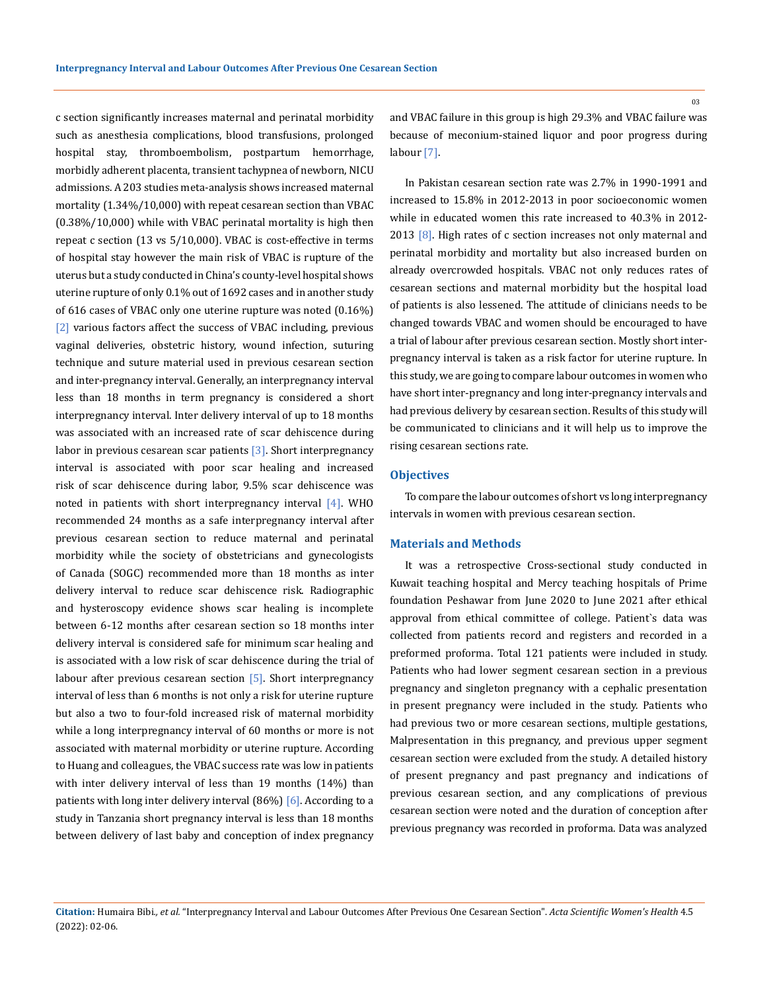c section significantly increases maternal and perinatal morbidity such as anesthesia complications, blood transfusions, prolonged hospital stay, thromboembolism, postpartum hemorrhage, morbidly adherent placenta, transient tachypnea of newborn, NICU admissions. A 203 studies meta-analysis shows increased maternal mortality (1.34%/10,000) with repeat cesarean section than VBAC (0.38%/10,000) while with VBAC perinatal mortality is high then repeat c section (13 vs 5/10,000). VBAC is cost-effective in terms of hospital stay however the main risk of VBAC is rupture of the uterus but a study conducted in China's county-level hospital shows uterine rupture of only 0.1% out of 1692 cases and in another study of 616 cases of VBAC only one uterine rupture was noted (0.16%) [2] various factors affect the success of VBAC including, previous vaginal deliveries, obstetric history, wound infection, suturing technique and suture material used in previous cesarean section and inter-pregnancy interval. Generally, an interpregnancy interval less than 18 months in term pregnancy is considered a short interpregnancy interval. Inter delivery interval of up to 18 months was associated with an increased rate of scar dehiscence during labor in previous cesarean scar patients [3]. Short interpregnancy interval is associated with poor scar healing and increased risk of scar dehiscence during labor, 9.5% scar dehiscence was noted in patients with short interpregnancy interval [4]. WHO recommended 24 months as a safe interpregnancy interval after previous cesarean section to reduce maternal and perinatal morbidity while the society of obstetricians and gynecologists of Canada (SOGC) recommended more than 18 months as inter delivery interval to reduce scar dehiscence risk. Radiographic and hysteroscopy evidence shows scar healing is incomplete between 6-12 months after cesarean section so 18 months inter delivery interval is considered safe for minimum scar healing and is associated with a low risk of scar dehiscence during the trial of labour after previous cesarean section [5]. Short interpregnancy interval of less than 6 months is not only a risk for uterine rupture but also a two to four-fold increased risk of maternal morbidity while a long interpregnancy interval of 60 months or more is not associated with maternal morbidity or uterine rupture. According to Huang and colleagues, the VBAC success rate was low in patients with inter delivery interval of less than 19 months (14%) than patients with long inter delivery interval  $(86%)$   $[6]$ . According to a study in Tanzania short pregnancy interval is less than 18 months between delivery of last baby and conception of index pregnancy

and VBAC failure in this group is high 29.3% and VBAC failure was because of meconium-stained liquor and poor progress during labour [7].

In Pakistan cesarean section rate was 2.7% in 1990-1991 and increased to 15.8% in 2012-2013 in poor socioeconomic women while in educated women this rate increased to 40.3% in 2012- 2013  $[8]$ . High rates of c section increases not only maternal and perinatal morbidity and mortality but also increased burden on already overcrowded hospitals. VBAC not only reduces rates of cesarean sections and maternal morbidity but the hospital load of patients is also lessened. The attitude of clinicians needs to be changed towards VBAC and women should be encouraged to have a trial of labour after previous cesarean section. Mostly short interpregnancy interval is taken as a risk factor for uterine rupture. In this study, we are going to compare labour outcomes in women who have short inter-pregnancy and long inter-pregnancy intervals and had previous delivery by cesarean section. Results of this study will be communicated to clinicians and it will help us to improve the rising cesarean sections rate.

#### **Objectives**

To compare the labour outcomes of short vs long interpregnancy intervals in women with previous cesarean section.

#### **Materials and Methods**

It was a retrospective Cross-sectional study conducted in Kuwait teaching hospital and Mercy teaching hospitals of Prime foundation Peshawar from June 2020 to June 2021 after ethical approval from ethical committee of college. Patient`s data was collected from patients record and registers and recorded in a preformed proforma. Total 121 patients were included in study. Patients who had lower segment cesarean section in a previous pregnancy and singleton pregnancy with a cephalic presentation in present pregnancy were included in the study. Patients who had previous two or more cesarean sections, multiple gestations, Malpresentation in this pregnancy, and previous upper segment cesarean section were excluded from the study. A detailed history of present pregnancy and past pregnancy and indications of previous cesarean section, and any complications of previous cesarean section were noted and the duration of conception after previous pregnancy was recorded in proforma. Data was analyzed

03

**Citation:** Humaira Bibi*., et al.* "Interpregnancy Interval and Labour Outcomes After Previous One Cesarean Section". *Acta Scientific Women's Health* 4.5 (2022): 02-06.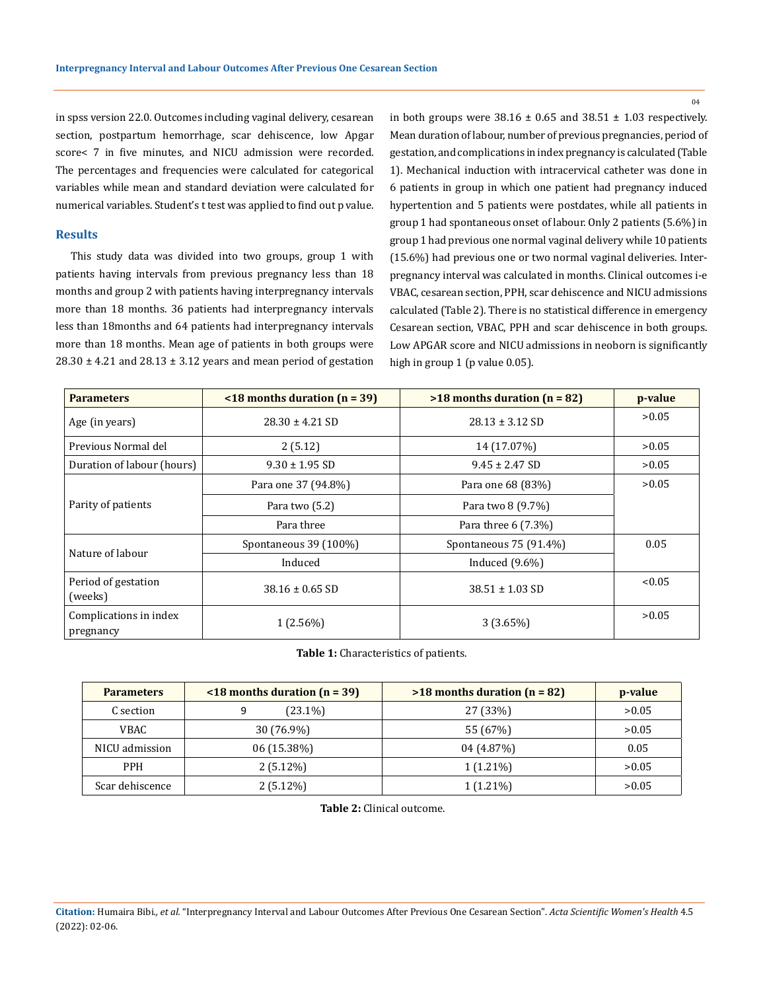$04$ 

in spss version 22.0. Outcomes including vaginal delivery, cesarean section, postpartum hemorrhage, scar dehiscence, low Apgar score< 7 in five minutes, and NICU admission were recorded. The percentages and frequencies were calculated for categorical variables while mean and standard deviation were calculated for numerical variables. Student's t test was applied to find out p value.

#### **Results**

This study data was divided into two groups, group 1 with patients having intervals from previous pregnancy less than 18 months and group 2 with patients having interpregnancy intervals more than 18 months. 36 patients had interpregnancy intervals less than 18months and 64 patients had interpregnancy intervals more than 18 months. Mean age of patients in both groups were  $28.30 \pm 4.21$  and  $28.13 \pm 3.12$  years and mean period of gestation

in both groups were  $38.16 \pm 0.65$  and  $38.51 \pm 1.03$  respectively. Mean duration of labour, number of previous pregnancies, period of gestation, and complications in index pregnancy is calculated (Table 1). Mechanical induction with intracervical catheter was done in 6 patients in group in which one patient had pregnancy induced hypertention and 5 patients were postdates, while all patients in group 1 had spontaneous onset of labour. Only 2 patients (5.6%) in group 1 had previous one normal vaginal delivery while 10 patients (15.6%) had previous one or two normal vaginal deliveries. Interpregnancy interval was calculated in months. Clinical outcomes i-e VBAC, cesarean section, PPH, scar dehiscence and NICU admissions calculated (Table 2). There is no statistical difference in emergency Cesarean section, VBAC, PPH and scar dehiscence in both groups. Low APGAR score and NICU admissions in neoborn is significantly high in group 1 (p value 0.05).

| <b>Parameters</b>                   | $\le$ 18 months duration (n = 39) | $>18$ months duration (n = 82) | p-value |
|-------------------------------------|-----------------------------------|--------------------------------|---------|
| Age (in years)                      | $28.30 \pm 4.21$ SD               | $28.13 \pm 3.12$ SD            | >0.05   |
| Previous Normal del                 | 2(5.12)                           | 14 (17.07%)                    | >0.05   |
| Duration of labour (hours)          | $9.30 \pm 1.95$ SD                | $9.45 \pm 2.47$ SD             | >0.05   |
| Parity of patients                  | Para one 37 (94.8%)               | Para one 68 (83%)              | >0.05   |
|                                     | Para two (5.2)                    | Para two 8 (9.7%)              |         |
|                                     | Para three                        | Para three 6 (7.3%)            |         |
| Nature of labour                    | Spontaneous 39 (100%)             | Spontaneous 75 (91.4%)         | 0.05    |
|                                     | Induced                           | Induced $(9.6\%)$              |         |
| Period of gestation<br>(weeks)      | $38.16 \pm 0.65$ SD               | $38.51 \pm 1.03$ SD            | < 0.05  |
| Complications in index<br>pregnancy | $1(2.56\%)$                       | 3(3.65%)                       | >0.05   |

**Table 1:** Characteristics of patients.

| <b>Parameters</b> | $\le$ 18 months duration (n = 39) | $>18$ months duration (n = 82) | p-value |
|-------------------|-----------------------------------|--------------------------------|---------|
| C section         | $(23.1\%)$<br>9                   | 27 (33%)                       | >0.05   |
| VBAC.             | 30 (76.9%)                        | 55 (67%)                       | >0.05   |
| NICU admission    | 06 (15.38%)                       | 04 (4.87%)                     | 0.05    |
| <b>PPH</b>        | $2(5.12\%)$                       | $1(1.21\%)$                    | >0.05   |
| Scar dehiscence   | $2(5.12\%)$                       | $1(1.21\%)$                    | >0.05   |

 **Table 2:** Clinical outcome.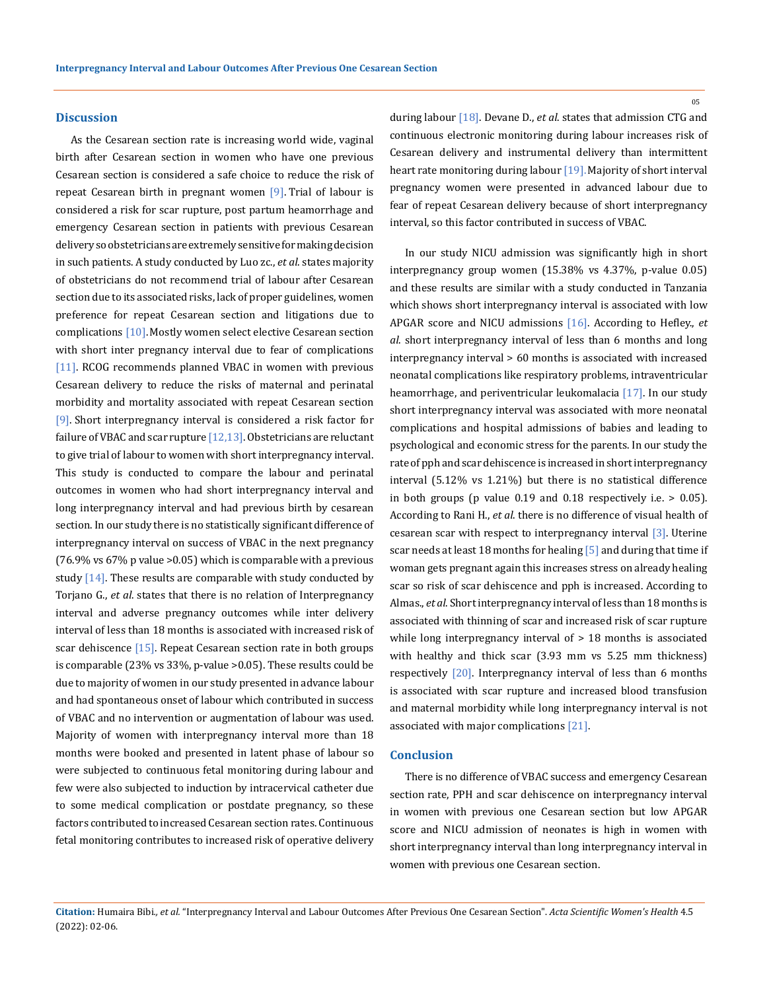#### **Discussion**

As the Cesarean section rate is increasing world wide, vaginal birth after Cesarean section in women who have one previous Cesarean section is considered a safe choice to reduce the risk of repeat Cesarean birth in pregnant women [9]. Trial of labour is considered a risk for scar rupture, post partum heamorrhage and emergency Cesarean section in patients with previous Cesarean delivery so obstetricians are extremely sensitive for making decision in such patients. A study conducted by Luo zc., *et al*. states majority of obstetricians do not recommend trial of labour after Cesarean section due to its associated risks, lack of proper guidelines, women preference for repeat Cesarean section and litigations due to complications [10]. Mostly women select elective Cesarean section with short inter pregnancy interval due to fear of complications [11]. RCOG recommends planned VBAC in women with previous Cesarean delivery to reduce the risks of maternal and perinatal morbidity and mortality associated with repeat Cesarean section [9]. Short interpregnancy interval is considered a risk factor for failure of VBAC and scar rupture  $[12,13]$ . Obstetricians are reluctant to give trial of labour to women with short interpregnancy interval. This study is conducted to compare the labour and perinatal outcomes in women who had short interpregnancy interval and long interpregnancy interval and had previous birth by cesarean section. In our study there is no statistically significant difference of interpregnancy interval on success of VBAC in the next pregnancy (76.9% vs 67% p value >0.05) which is comparable with a previous study  $[14]$ . These results are comparable with study conducted by Torjano G., *et al*. states that there is no relation of Interpregnancy interval and adverse pregnancy outcomes while inter delivery interval of less than 18 months is associated with increased risk of scar dehiscence  $[15]$ . Repeat Cesarean section rate in both groups is comparable (23% vs 33%, p-value >0.05). These results could be due to majority of women in our study presented in advance labour and had spontaneous onset of labour which contributed in success of VBAC and no intervention or augmentation of labour was used. Majority of women with interpregnancy interval more than 18 months were booked and presented in latent phase of labour so were subjected to continuous fetal monitoring during labour and few were also subjected to induction by intracervical catheter due to some medical complication or postdate pregnancy, so these factors contributed to increased Cesarean section rates. Continuous fetal monitoring contributes to increased risk of operative delivery

during labour [18]. Devane D., *et al*. states that admission CTG and continuous electronic monitoring during labour increases risk of Cesarean delivery and instrumental delivery than intermittent heart rate monitoring during labour [19]. Majority of short interval pregnancy women were presented in advanced labour due to fear of repeat Cesarean delivery because of short interpregnancy interval, so this factor contributed in success of VBAC.

In our study NICU admission was significantly high in short interpregnancy group women (15.38% vs 4.37%, p-value 0.05) and these results are similar with a study conducted in Tanzania which shows short interpregnancy interval is associated with low APGAR score and NICU admissions [16]. According to Hefley., *et al*. short interpregnancy interval of less than 6 months and long interpregnancy interval > 60 months is associated with increased neonatal complications like respiratory problems, intraventricular heamorrhage, and periventricular leukomalacia [17]. In our study short interpregnancy interval was associated with more neonatal complications and hospital admissions of babies and leading to psychological and economic stress for the parents. In our study the rate of pph and scar dehiscence is increased in short interpregnancy interval (5.12% vs 1.21%) but there is no statistical difference in both groups (p value 0.19 and 0.18 respectively i.e. > 0.05). According to Rani H., *et al*. there is no difference of visual health of cesarean scar with respect to interpregnancy interval [3]. Uterine scar needs at least 18 months for healing [5] and during that time if woman gets pregnant again this increases stress on already healing scar so risk of scar dehiscence and pph is increased. According to Almas., *et al*. Short interpregnancy interval of less than 18 months is associated with thinning of scar and increased risk of scar rupture while long interpregnancy interval of  $> 18$  months is associated with healthy and thick scar (3.93 mm vs 5.25 mm thickness) respectively [20]. Interpregnancy interval of less than 6 months is associated with scar rupture and increased blood transfusion and maternal morbidity while long interpregnancy interval is not associated with major complications [21].

#### **Conclusion**

There is no difference of VBAC success and emergency Cesarean section rate, PPH and scar dehiscence on interpregnancy interval in women with previous one Cesarean section but low APGAR score and NICU admission of neonates is high in women with short interpregnancy interval than long interpregnancy interval in women with previous one Cesarean section.

05

**Citation:** Humaira Bibi*., et al.* "Interpregnancy Interval and Labour Outcomes After Previous One Cesarean Section". *Acta Scientific Women's Health* 4.5 (2022): 02-06.